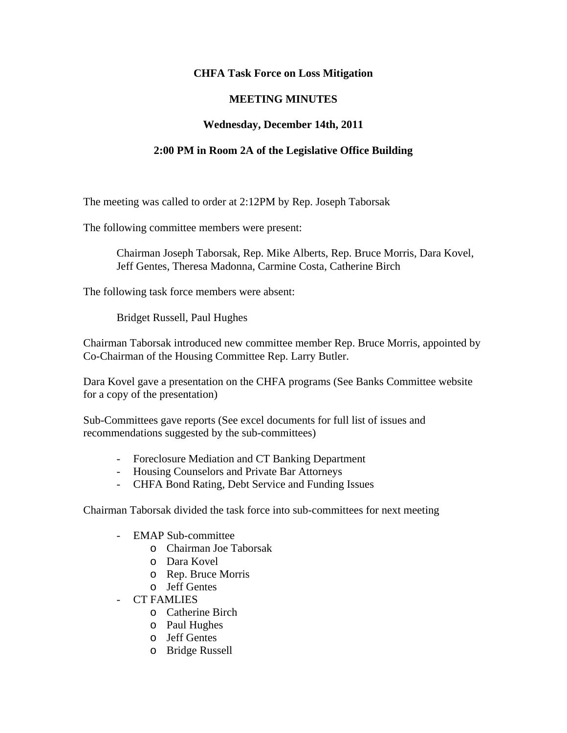## **CHFA Task Force on Loss Mitigation**

## **MEETING MINUTES**

## **Wednesday, December 14th, 2011**

## **2:00 PM in Room 2A of the Legislative Office Building**

The meeting was called to order at 2:12PM by Rep. Joseph Taborsak

The following committee members were present:

Chairman Joseph Taborsak, Rep. Mike Alberts, Rep. Bruce Morris, Dara Kovel, Jeff Gentes, Theresa Madonna, Carmine Costa, Catherine Birch

The following task force members were absent:

Bridget Russell, Paul Hughes

Chairman Taborsak introduced new committee member Rep. Bruce Morris, appointed by Co-Chairman of the Housing Committee Rep. Larry Butler.

Dara Kovel gave a presentation on the CHFA programs (See Banks Committee website for a copy of the presentation)

Sub-Committees gave reports (See excel documents for full list of issues and recommendations suggested by the sub-committees)

- Foreclosure Mediation and CT Banking Department
- Housing Counselors and Private Bar Attorneys
- CHFA Bond Rating, Debt Service and Funding Issues

Chairman Taborsak divided the task force into sub-committees for next meeting

- EMAP Sub-committee
	- o Chairman Joe Taborsak
	- o Dara Kovel
	- o Rep. Bruce Morris
	- o Jeff Gentes
- CT FAMLIES
	- o Catherine Birch
	- o Paul Hughes
	- o Jeff Gentes
	- o Bridge Russell